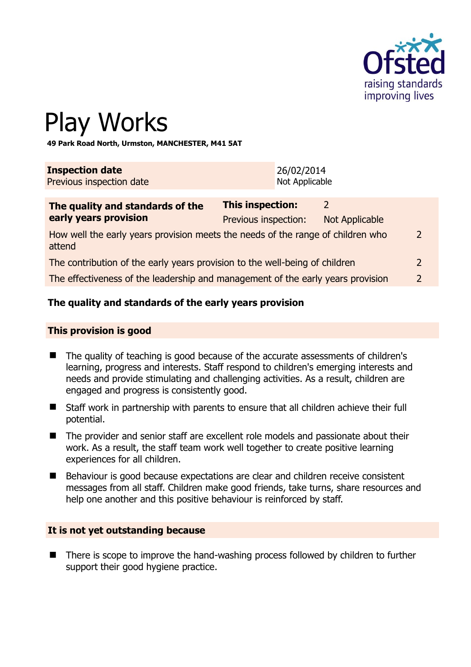

# Play Works

**49 Park Road North, Urmston, MANCHESTER, M41 5AT** 

| <b>Inspection date</b>   | 26/02/2014     |
|--------------------------|----------------|
| Previous inspection date | Not Applicable |
|                          |                |

| The quality and standards of the                                                          | <b>This inspection:</b> | $\mathcal{D}$  |               |
|-------------------------------------------------------------------------------------------|-------------------------|----------------|---------------|
| early years provision                                                                     | Previous inspection:    | Not Applicable |               |
| How well the early years provision meets the needs of the range of children who<br>attend |                         |                | $\mathcal{L}$ |
| The contribution of the early years provision to the well-being of children               |                         |                |               |
| The effectiveness of the leadership and management of the early years provision           |                         |                | $\mathcal{L}$ |

# **The quality and standards of the early years provision**

#### **This provision is good**

- The quality of teaching is good because of the accurate assessments of children's learning, progress and interests. Staff respond to children's emerging interests and needs and provide stimulating and challenging activities. As a result, children are engaged and progress is consistently good.
- Staff work in partnership with parents to ensure that all children achieve their full potential.
- The provider and senior staff are excellent role models and passionate about their work. As a result, the staff team work well together to create positive learning experiences for all children.
- Behaviour is good because expectations are clear and children receive consistent messages from all staff. Children make good friends, take turns, share resources and help one another and this positive behaviour is reinforced by staff.

#### **It is not yet outstanding because**

■ There is scope to improve the hand-washing process followed by children to further support their good hygiene practice.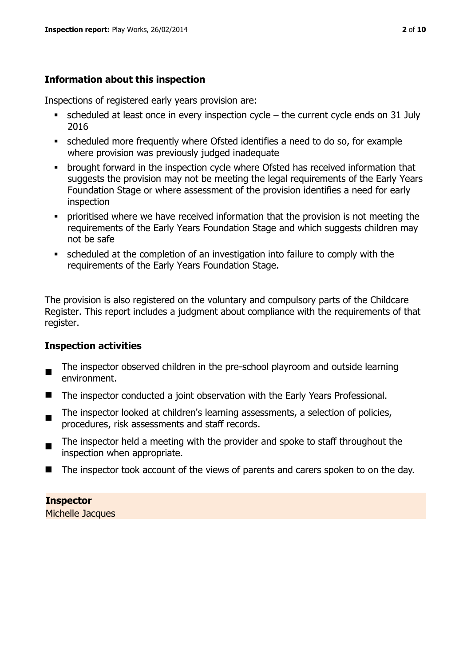# **Information about this inspection**

Inspections of registered early years provision are:

- $\bullet$  scheduled at least once in every inspection cycle the current cycle ends on 31 July 2016
- scheduled more frequently where Ofsted identifies a need to do so, for example where provision was previously judged inadequate
- **•** brought forward in the inspection cycle where Ofsted has received information that suggests the provision may not be meeting the legal requirements of the Early Years Foundation Stage or where assessment of the provision identifies a need for early inspection
- **•** prioritised where we have received information that the provision is not meeting the requirements of the Early Years Foundation Stage and which suggests children may not be safe
- scheduled at the completion of an investigation into failure to comply with the requirements of the Early Years Foundation Stage.

The provision is also registered on the voluntary and compulsory parts of the Childcare Register. This report includes a judgment about compliance with the requirements of that register.

# **Inspection activities**

- $\blacksquare$ The inspector observed children in the pre-school playroom and outside learning environment.
- The inspector conducted a joint observation with the Early Years Professional.
- $\blacksquare$ The inspector looked at children's learning assessments, a selection of policies, procedures, risk assessments and staff records.
- The inspector held a meeting with the provider and spoke to staff throughout the inspection when appropriate.
- The inspector took account of the views of parents and carers spoken to on the day.

**Inspector** 

Michelle Jacques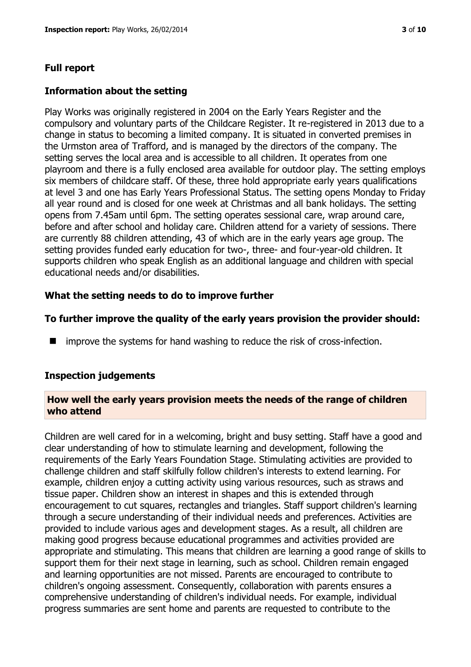# **Information about the setting**

Play Works was originally registered in 2004 on the Early Years Register and the compulsory and voluntary parts of the Childcare Register. It re-registered in 2013 due to a change in status to becoming a limited company. It is situated in converted premises in the Urmston area of Trafford, and is managed by the directors of the company. The setting serves the local area and is accessible to all children. It operates from one playroom and there is a fully enclosed area available for outdoor play. The setting employs six members of childcare staff. Of these, three hold appropriate early years qualifications at level 3 and one has Early Years Professional Status. The setting opens Monday to Friday all year round and is closed for one week at Christmas and all bank holidays. The setting opens from 7.45am until 6pm. The setting operates sessional care, wrap around care, before and after school and holiday care. Children attend for a variety of sessions. There are currently 88 children attending, 43 of which are in the early years age group. The setting provides funded early education for two-, three- and four-year-old children. It supports children who speak English as an additional language and children with special educational needs and/or disabilities.

# **What the setting needs to do to improve further**

# **To further improve the quality of the early years provision the provider should:**

**I** improve the systems for hand washing to reduce the risk of cross-infection.

# **Inspection judgements**

#### **How well the early years provision meets the needs of the range of children who attend**

Children are well cared for in a welcoming, bright and busy setting. Staff have a good and clear understanding of how to stimulate learning and development, following the requirements of the Early Years Foundation Stage. Stimulating activities are provided to challenge children and staff skilfully follow children's interests to extend learning. For example, children enjoy a cutting activity using various resources, such as straws and tissue paper. Children show an interest in shapes and this is extended through encouragement to cut squares, rectangles and triangles. Staff support children's learning through a secure understanding of their individual needs and preferences. Activities are provided to include various ages and development stages. As a result, all children are making good progress because educational programmes and activities provided are appropriate and stimulating. This means that children are learning a good range of skills to support them for their next stage in learning, such as school. Children remain engaged and learning opportunities are not missed. Parents are encouraged to contribute to children's ongoing assessment. Consequently, collaboration with parents ensures a comprehensive understanding of children's individual needs. For example, individual progress summaries are sent home and parents are requested to contribute to the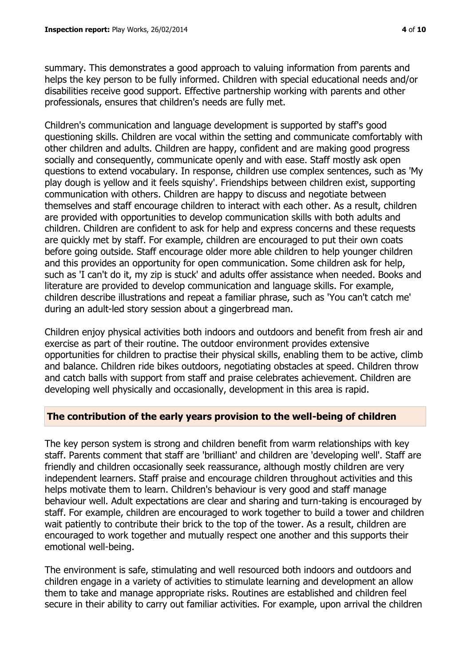summary. This demonstrates a good approach to valuing information from parents and helps the key person to be fully informed. Children with special educational needs and/or disabilities receive good support. Effective partnership working with parents and other professionals, ensures that children's needs are fully met.

Children's communication and language development is supported by staff's good questioning skills. Children are vocal within the setting and communicate comfortably with other children and adults. Children are happy, confident and are making good progress socially and consequently, communicate openly and with ease. Staff mostly ask open questions to extend vocabulary. In response, children use complex sentences, such as 'My play dough is yellow and it feels squishy'. Friendships between children exist, supporting communication with others. Children are happy to discuss and negotiate between themselves and staff encourage children to interact with each other. As a result, children are provided with opportunities to develop communication skills with both adults and children. Children are confident to ask for help and express concerns and these requests are quickly met by staff. For example, children are encouraged to put their own coats before going outside. Staff encourage older more able children to help younger children and this provides an opportunity for open communication. Some children ask for help, such as 'I can't do it, my zip is stuck' and adults offer assistance when needed. Books and literature are provided to develop communication and language skills. For example, children describe illustrations and repeat a familiar phrase, such as 'You can't catch me' during an adult-led story session about a gingerbread man.

Children enjoy physical activities both indoors and outdoors and benefit from fresh air and exercise as part of their routine. The outdoor environment provides extensive opportunities for children to practise their physical skills, enabling them to be active, climb and balance. Children ride bikes outdoors, negotiating obstacles at speed. Children throw and catch balls with support from staff and praise celebrates achievement. Children are developing well physically and occasionally, development in this area is rapid.

# **The contribution of the early years provision to the well-being of children**

The key person system is strong and children benefit from warm relationships with key staff. Parents comment that staff are 'brilliant' and children are 'developing well'. Staff are friendly and children occasionally seek reassurance, although mostly children are very independent learners. Staff praise and encourage children throughout activities and this helps motivate them to learn. Children's behaviour is very good and staff manage behaviour well. Adult expectations are clear and sharing and turn-taking is encouraged by staff. For example, children are encouraged to work together to build a tower and children wait patiently to contribute their brick to the top of the tower. As a result, children are encouraged to work together and mutually respect one another and this supports their emotional well-being.

The environment is safe, stimulating and well resourced both indoors and outdoors and children engage in a variety of activities to stimulate learning and development an allow them to take and manage appropriate risks. Routines are established and children feel secure in their ability to carry out familiar activities. For example, upon arrival the children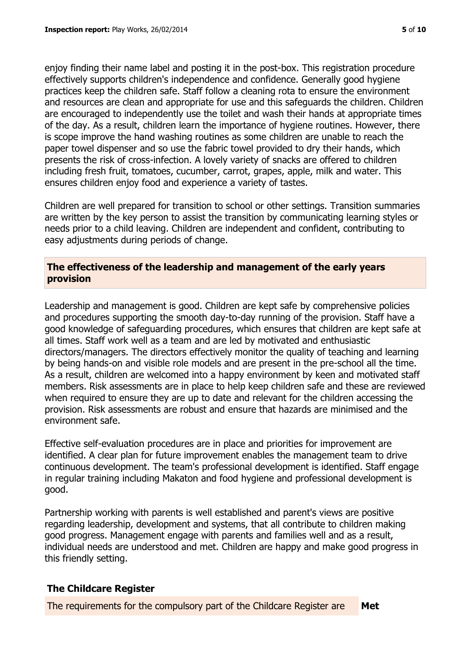enjoy finding their name label and posting it in the post-box. This registration procedure effectively supports children's independence and confidence. Generally good hygiene practices keep the children safe. Staff follow a cleaning rota to ensure the environment and resources are clean and appropriate for use and this safeguards the children. Children are encouraged to independently use the toilet and wash their hands at appropriate times of the day. As a result, children learn the importance of hygiene routines. However, there is scope improve the hand washing routines as some children are unable to reach the paper towel dispenser and so use the fabric towel provided to dry their hands, which presents the risk of cross-infection. A lovely variety of snacks are offered to children including fresh fruit, tomatoes, cucumber, carrot, grapes, apple, milk and water. This ensures children enjoy food and experience a variety of tastes.

Children are well prepared for transition to school or other settings. Transition summaries are written by the key person to assist the transition by communicating learning styles or needs prior to a child leaving. Children are independent and confident, contributing to easy adjustments during periods of change.

# **The effectiveness of the leadership and management of the early years provision**

Leadership and management is good. Children are kept safe by comprehensive policies and procedures supporting the smooth day-to-day running of the provision. Staff have a good knowledge of safeguarding procedures, which ensures that children are kept safe at all times. Staff work well as a team and are led by motivated and enthusiastic directors/managers. The directors effectively monitor the quality of teaching and learning by being hands-on and visible role models and are present in the pre-school all the time. As a result, children are welcomed into a happy environment by keen and motivated staff members. Risk assessments are in place to help keep children safe and these are reviewed when required to ensure they are up to date and relevant for the children accessing the provision. Risk assessments are robust and ensure that hazards are minimised and the environment safe.

Effective self-evaluation procedures are in place and priorities for improvement are identified. A clear plan for future improvement enables the management team to drive continuous development. The team's professional development is identified. Staff engage in regular training including Makaton and food hygiene and professional development is good.

Partnership working with parents is well established and parent's views are positive regarding leadership, development and systems, that all contribute to children making good progress. Management engage with parents and families well and as a result, individual needs are understood and met. Children are happy and make good progress in this friendly setting.

# **The Childcare Register**

The requirements for the compulsory part of the Childcare Register are **Met**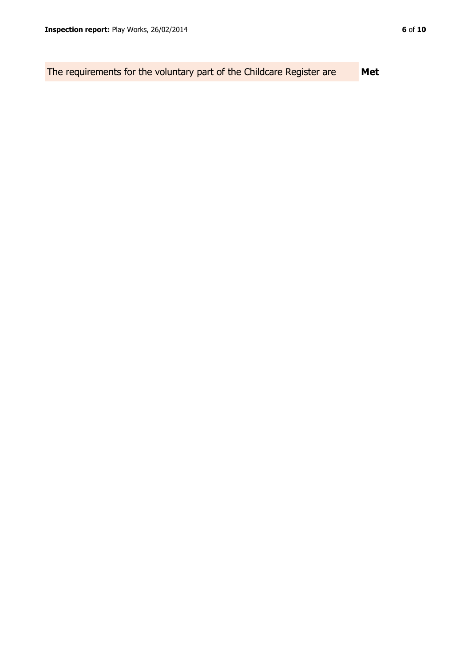The requirements for the voluntary part of the Childcare Register are **Met**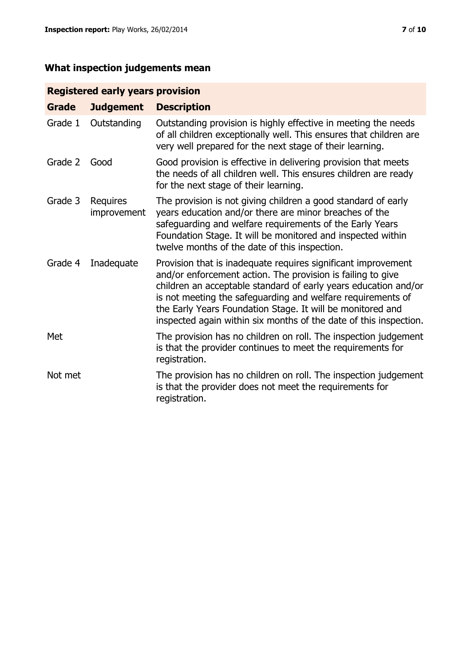# **What inspection judgements mean**

# **Registered early years provision**

| <b>Grade</b> | <b>Judgement</b>        | <b>Description</b>                                                                                                                                                                                                                                                                                                                                                                                |
|--------------|-------------------------|---------------------------------------------------------------------------------------------------------------------------------------------------------------------------------------------------------------------------------------------------------------------------------------------------------------------------------------------------------------------------------------------------|
| Grade 1      | Outstanding             | Outstanding provision is highly effective in meeting the needs<br>of all children exceptionally well. This ensures that children are<br>very well prepared for the next stage of their learning.                                                                                                                                                                                                  |
| Grade 2      | Good                    | Good provision is effective in delivering provision that meets<br>the needs of all children well. This ensures children are ready<br>for the next stage of their learning.                                                                                                                                                                                                                        |
| Grade 3      | Requires<br>improvement | The provision is not giving children a good standard of early<br>years education and/or there are minor breaches of the<br>safeguarding and welfare requirements of the Early Years<br>Foundation Stage. It will be monitored and inspected within<br>twelve months of the date of this inspection.                                                                                               |
| Grade 4      | Inadequate              | Provision that is inadequate requires significant improvement<br>and/or enforcement action. The provision is failing to give<br>children an acceptable standard of early years education and/or<br>is not meeting the safeguarding and welfare requirements of<br>the Early Years Foundation Stage. It will be monitored and<br>inspected again within six months of the date of this inspection. |
| Met          |                         | The provision has no children on roll. The inspection judgement<br>is that the provider continues to meet the requirements for<br>registration.                                                                                                                                                                                                                                                   |
| Not met      |                         | The provision has no children on roll. The inspection judgement<br>is that the provider does not meet the requirements for<br>registration.                                                                                                                                                                                                                                                       |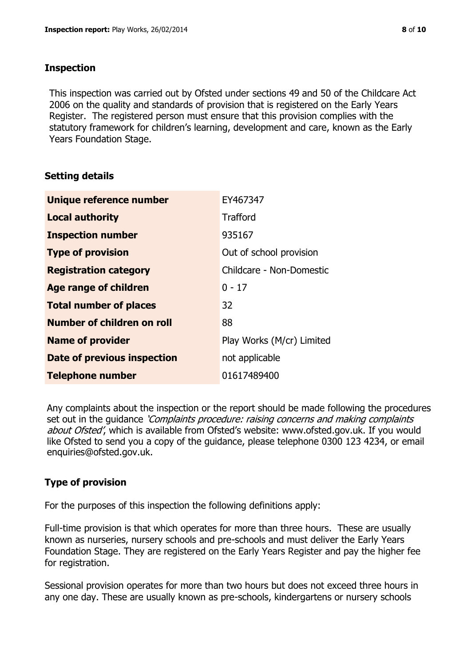#### **Inspection**

This inspection was carried out by Ofsted under sections 49 and 50 of the Childcare Act 2006 on the quality and standards of provision that is registered on the Early Years Register. The registered person must ensure that this provision complies with the statutory framework for children's learning, development and care, known as the Early Years Foundation Stage.

# **Setting details**

| Unique reference number       | EY467347                  |
|-------------------------------|---------------------------|
| <b>Local authority</b>        | <b>Trafford</b>           |
| <b>Inspection number</b>      | 935167                    |
| <b>Type of provision</b>      | Out of school provision   |
| <b>Registration category</b>  | Childcare - Non-Domestic  |
| <b>Age range of children</b>  | $0 - 17$                  |
| <b>Total number of places</b> | 32                        |
| Number of children on roll    | 88                        |
| <b>Name of provider</b>       | Play Works (M/cr) Limited |
| Date of previous inspection   | not applicable            |
| <b>Telephone number</b>       | 01617489400               |

Any complaints about the inspection or the report should be made following the procedures set out in the guidance *'Complaints procedure: raising concerns and making complaints* about Ofsted', which is available from Ofsted's website: www.ofsted.gov.uk. If you would like Ofsted to send you a copy of the guidance, please telephone 0300 123 4234, or email enquiries@ofsted.gov.uk.

# **Type of provision**

For the purposes of this inspection the following definitions apply:

Full-time provision is that which operates for more than three hours. These are usually known as nurseries, nursery schools and pre-schools and must deliver the Early Years Foundation Stage. They are registered on the Early Years Register and pay the higher fee for registration.

Sessional provision operates for more than two hours but does not exceed three hours in any one day. These are usually known as pre-schools, kindergartens or nursery schools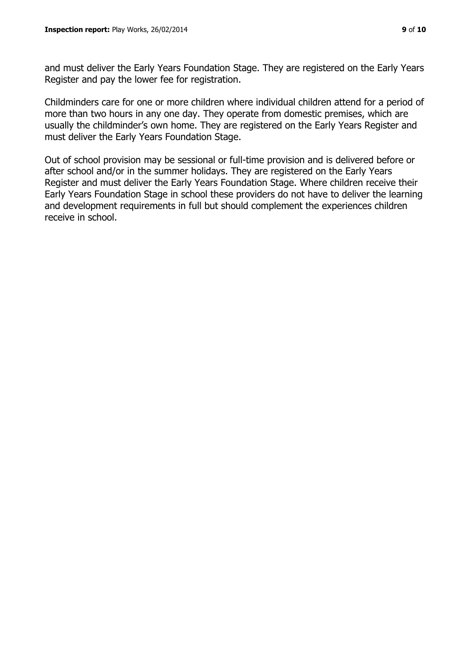and must deliver the Early Years Foundation Stage. They are registered on the Early Years Register and pay the lower fee for registration.

Childminders care for one or more children where individual children attend for a period of more than two hours in any one day. They operate from domestic premises, which are usually the childminder's own home. They are registered on the Early Years Register and must deliver the Early Years Foundation Stage.

Out of school provision may be sessional or full-time provision and is delivered before or after school and/or in the summer holidays. They are registered on the Early Years Register and must deliver the Early Years Foundation Stage. Where children receive their Early Years Foundation Stage in school these providers do not have to deliver the learning and development requirements in full but should complement the experiences children receive in school.